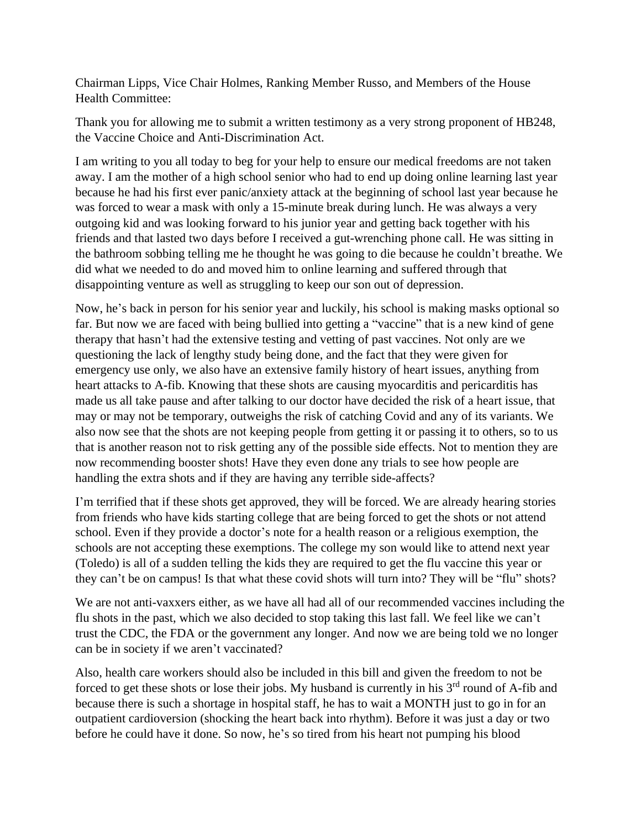Chairman Lipps, Vice Chair Holmes, Ranking Member Russo, and Members of the House Health Committee:

Thank you for allowing me to submit a written testimony as a very strong proponent of HB248, the Vaccine Choice and Anti-Discrimination Act.

I am writing to you all today to beg for your help to ensure our medical freedoms are not taken away. I am the mother of a high school senior who had to end up doing online learning last year because he had his first ever panic/anxiety attack at the beginning of school last year because he was forced to wear a mask with only a 15-minute break during lunch. He was always a very outgoing kid and was looking forward to his junior year and getting back together with his friends and that lasted two days before I received a gut-wrenching phone call. He was sitting in the bathroom sobbing telling me he thought he was going to die because he couldn't breathe. We did what we needed to do and moved him to online learning and suffered through that disappointing venture as well as struggling to keep our son out of depression.

Now, he's back in person for his senior year and luckily, his school is making masks optional so far. But now we are faced with being bullied into getting a "vaccine" that is a new kind of gene therapy that hasn't had the extensive testing and vetting of past vaccines. Not only are we questioning the lack of lengthy study being done, and the fact that they were given for emergency use only, we also have an extensive family history of heart issues, anything from heart attacks to A-fib. Knowing that these shots are causing myocarditis and pericarditis has made us all take pause and after talking to our doctor have decided the risk of a heart issue, that may or may not be temporary, outweighs the risk of catching Covid and any of its variants. We also now see that the shots are not keeping people from getting it or passing it to others, so to us that is another reason not to risk getting any of the possible side effects. Not to mention they are now recommending booster shots! Have they even done any trials to see how people are handling the extra shots and if they are having any terrible side-affects?

I'm terrified that if these shots get approved, they will be forced. We are already hearing stories from friends who have kids starting college that are being forced to get the shots or not attend school. Even if they provide a doctor's note for a health reason or a religious exemption, the schools are not accepting these exemptions. The college my son would like to attend next year (Toledo) is all of a sudden telling the kids they are required to get the flu vaccine this year or they can't be on campus! Is that what these covid shots will turn into? They will be "flu" shots?

We are not anti-vaxxers either, as we have all had all of our recommended vaccines including the flu shots in the past, which we also decided to stop taking this last fall. We feel like we can't trust the CDC, the FDA or the government any longer. And now we are being told we no longer can be in society if we aren't vaccinated?

Also, health care workers should also be included in this bill and given the freedom to not be forced to get these shots or lose their jobs. My husband is currently in his 3<sup>rd</sup> round of A-fib and because there is such a shortage in hospital staff, he has to wait a MONTH just to go in for an outpatient cardioversion (shocking the heart back into rhythm). Before it was just a day or two before he could have it done. So now, he's so tired from his heart not pumping his blood